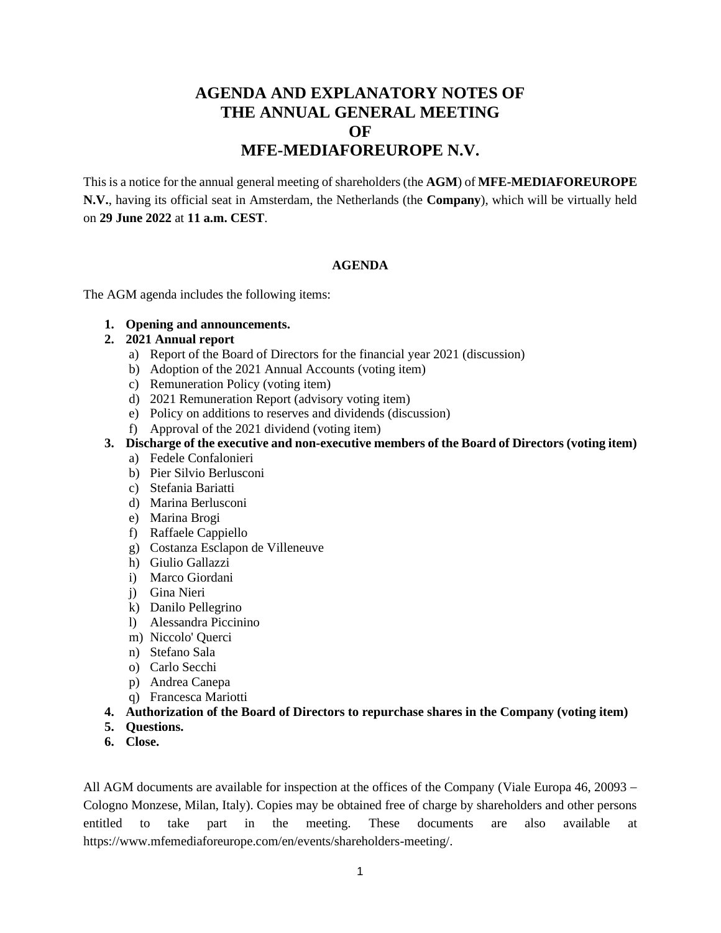# **AGENDA AND EXPLANATORY NOTES OF THE ANNUAL GENERAL MEETING OF MFE-MEDIAFOREUROPE N.V.**

This is a notice for the annual general meeting of shareholders (the **AGM**) of **MFE-MEDIAFOREUROPE N.V.**, having its official seat in Amsterdam, the Netherlands (the **Company**), which will be virtually held on **29 June 2022** at **11 a.m. CEST**.

### **AGENDA**

The AGM agenda includes the following items:

**1. Opening and announcements.** 

### **2. 2021 Annual report**

- a) Report of the Board of Directors for the financial year 2021 (discussion)
- b) Adoption of the 2021 Annual Accounts (voting item)
- c) Remuneration Policy (voting item)
- d) 2021 Remuneration Report (advisory voting item)
- e) Policy on additions to reserves and dividends (discussion)
- f) Approval of the 2021 dividend (voting item)
- **3. Discharge of the executive and non-executive members of the Board of Directors (voting item)**
	- a) Fedele Confalonieri
	- b) Pier Silvio Berlusconi
	- c) Stefania Bariatti
	- d) Marina Berlusconi
	- e) Marina Brogi
	- f) Raffaele Cappiello
	- g) Costanza Esclapon de Villeneuve
	- h) Giulio Gallazzi
	- i) Marco Giordani
	- j) Gina Nieri
	- k) Danilo Pellegrino
	- l) Alessandra Piccinino
	- m) Niccolo' Querci
	- n) Stefano Sala
	- o) Carlo Secchi
	- p) Andrea Canepa
	- q) Francesca Mariotti
- **4. Authorization of the Board of Directors to repurchase shares in the Company (voting item)**
- **5. Questions.**
- **6. Close.**

All AGM documents are available for inspection at the offices of the Company (Viale Europa 46, 20093 − Cologno Monzese, Milan, Italy). Copies may be obtained free of charge by shareholders and other persons entitled to take part in the meeting. These documents are also available at https://www.mfemediaforeurope.com/en/events/shareholders-meeting/.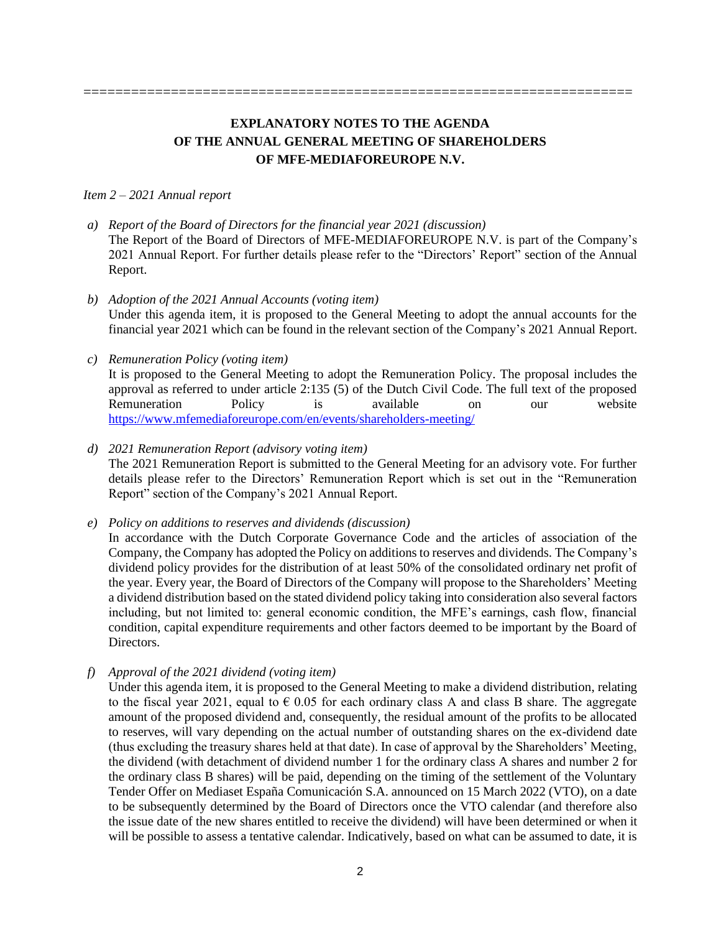## **EXPLANATORY NOTES TO THE AGENDA OF THE ANNUAL GENERAL MEETING OF SHAREHOLDERS OF MFE-MEDIAFOREUROPE N.V.**

#### *Item 2 – 2021 Annual report*

- *a) Report of the Board of Directors for the financial year 2021 (discussion)*  The Report of the Board of Directors of MFE-MEDIAFOREUROPE N.V. is part of the Company's 2021 Annual Report. For further details please refer to the "Directors' Report" section of the Annual Report.
- *b) Adoption of the 2021 Annual Accounts (voting item)*  Under this agenda item, it is proposed to the General Meeting to adopt the annual accounts for the financial year 2021 which can be found in the relevant section of the Company's 2021 Annual Report.

### *c) Remuneration Policy (voting item)*

It is proposed to the General Meeting to adopt the Remuneration Policy. The proposal includes the approval as referred to under article 2:135 (5) of the Dutch Civil Code. The full text of the proposed<br>Remuneration Policy is available on our website Remuneration Policy is available on our <https://www.mfemediaforeurope.com/en/events/shareholders-meeting/>

### *d) 2021 Remuneration Report (advisory voting item)*

The 2021 Remuneration Report is submitted to the General Meeting for an advisory vote. For further details please refer to the Directors' Remuneration Report which is set out in the "Remuneration Report" section of the Company's 2021 Annual Report.

*e) Policy on additions to reserves and dividends (discussion)* 

In accordance with the Dutch Corporate Governance Code and the articles of association of the Company, the Company has adopted the Policy on additions to reserves and dividends. The Company's dividend policy provides for the distribution of at least 50% of the consolidated ordinary net profit of the year. Every year, the Board of Directors of the Company will propose to the Shareholders' Meeting a dividend distribution based on the stated dividend policy taking into consideration also several factors including, but not limited to: general economic condition, the MFE's earnings, cash flow, financial condition, capital expenditure requirements and other factors deemed to be important by the Board of Directors.

*f) Approval of the 2021 dividend (voting item)* 

Under this agenda item, it is proposed to the General Meeting to make a dividend distribution, relating to the fiscal year 2021, equal to  $\epsilon$  0.05 for each ordinary class A and class B share. The aggregate amount of the proposed dividend and, consequently, the residual amount of the profits to be allocated to reserves, will vary depending on the actual number of outstanding shares on the ex-dividend date (thus excluding the treasury shares held at that date). In case of approval by the Shareholders' Meeting, the dividend (with detachment of dividend number 1 for the ordinary class A shares and number 2 for the ordinary class B shares) will be paid, depending on the timing of the settlement of the Voluntary Tender Offer on Mediaset España Comunicación S.A. announced on 15 March 2022 (VTO), on a date to be subsequently determined by the Board of Directors once the VTO calendar (and therefore also the issue date of the new shares entitled to receive the dividend) will have been determined or when it will be possible to assess a tentative calendar. Indicatively, based on what can be assumed to date, it is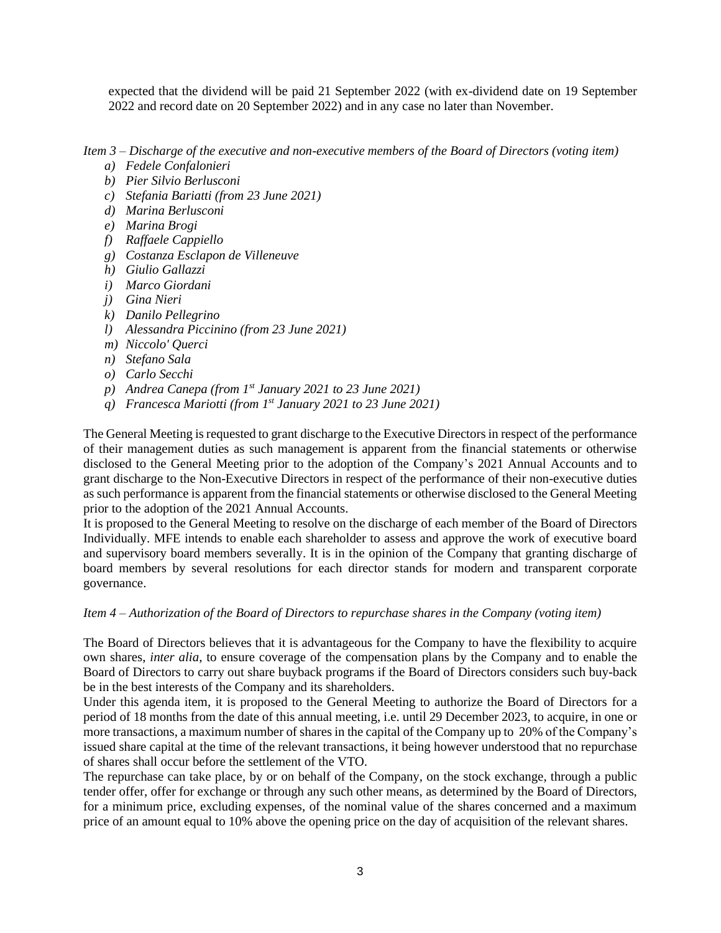expected that the dividend will be paid 21 September 2022 (with ex-dividend date on 19 September 2022 and record date on 20 September 2022) and in any case no later than November.

*Item 3 – Discharge of the executive and non-executive members of the Board of Directors (voting item)*

- *a) Fedele Confalonieri*
- *b) Pier Silvio Berlusconi*
- *c) Stefania Bariatti (from 23 June 2021)*
- *d) Marina Berlusconi*
- *e) Marina Brogi*
- *f) Raffaele Cappiello*
- *g) Costanza Esclapon de Villeneuve*
- *h) Giulio Gallazzi*
- *i) Marco Giordani*
- *j) Gina Nieri*
- *k) Danilo Pellegrino*
- *l) Alessandra Piccinino (from 23 June 2021)*
- *m) Niccolo' Querci*
- *n) Stefano Sala*
- *o) Carlo Secchi*
- *p) Andrea Canepa (from 1st January 2021 to 23 June 2021)*
- *q) Francesca Mariotti (from 1st January 2021 to 23 June 2021)*

The General Meeting is requested to grant discharge to the Executive Directorsin respect of the performance of their management duties as such management is apparent from the financial statements or otherwise disclosed to the General Meeting prior to the adoption of the Company's 2021 Annual Accounts and to grant discharge to the Non-Executive Directors in respect of the performance of their non-executive duties as such performance is apparent from the financial statements or otherwise disclosed to the General Meeting prior to the adoption of the 2021 Annual Accounts.

It is proposed to the General Meeting to resolve on the discharge of each member of the Board of Directors Individually. MFE intends to enable each shareholder to assess and approve the work of executive board and supervisory board members severally. It is in the opinion of the Company that granting discharge of board members by several resolutions for each director stands for modern and transparent corporate governance.

*Item 4 – Authorization of the Board of Directors to repurchase shares in the Company (voting item)*

The Board of Directors believes that it is advantageous for the Company to have the flexibility to acquire own shares, *inter alia*, to ensure coverage of the compensation plans by the Company and to enable the Board of Directors to carry out share buyback programs if the Board of Directors considers such buy-back be in the best interests of the Company and its shareholders.

Under this agenda item, it is proposed to the General Meeting to authorize the Board of Directors for a period of 18 months from the date of this annual meeting, i.e. until 29 December 2023, to acquire, in one or more transactions, a maximum number of shares in the capital of the Company up to 20% of the Company's issued share capital at the time of the relevant transactions, it being however understood that no repurchase of shares shall occur before the settlement of the VTO.

The repurchase can take place, by or on behalf of the Company, on the stock exchange, through a public tender offer, offer for exchange or through any such other means, as determined by the Board of Directors, for a minimum price, excluding expenses, of the nominal value of the shares concerned and a maximum price of an amount equal to 10% above the opening price on the day of acquisition of the relevant shares.